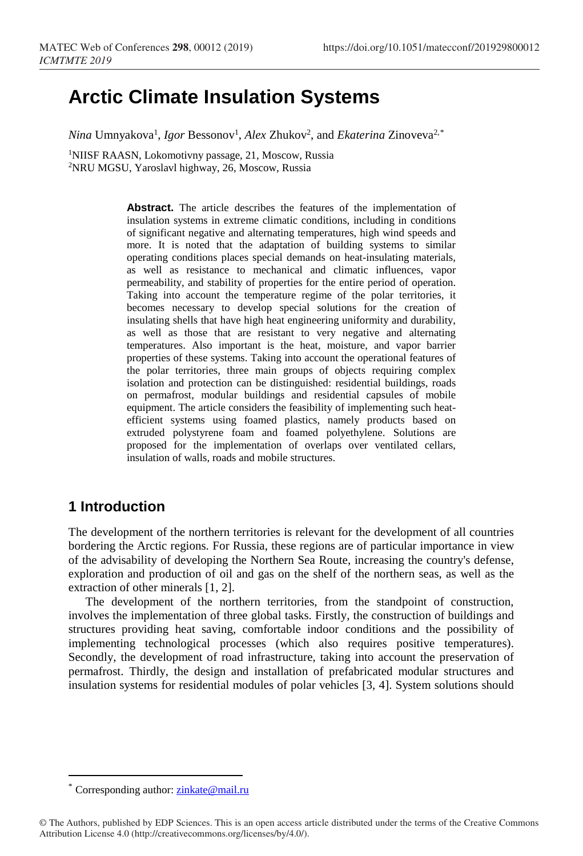# **Arctic Climate Insulation Systems**

 $N$ *ina* Umnyakova<sup>1</sup>, *Igor* Bessonov<sup>1</sup>, *Alex Zhukov<sup>2</sup>, and Ekaterina Zinoveva<sup>2,\*</sup>* 

1NIISF RAASN, Lokomotivny passage, 21, Moscow, Russia 2NRU MGSU, Yaroslavl highway, 26, Moscow, Russia

> **Abstract.** The article describes the features of the implementatio[n](#page-0-0) of insulation systems in extreme climatic conditions, including in conditions of significant negative and alternating temperatures, high wind speeds and more. It is noted that the adaptation of building systems to similar operating conditions places special demands on heat-insulating materials, as well as resistance to mechanical and climatic influences, vapor permeability, and stability of properties for the entire period of operation. Taking into account the temperature regime of the polar territories, it becomes necessary to develop special solutions for the creation of insulating shells that have high heat engineering uniformity and durability, as well as those that are resistant to very negative and alternating temperatures. Also important is the heat, moisture, and vapor barrier properties of these systems. Taking into account the operational features of the polar territories, three main groups of objects requiring complex isolation and protection can be distinguished: residential buildings, roads on permafrost, modular buildings and residential capsules of mobile equipment. The article considers the feasibility of implementing such heatefficient systems using foamed plastics, namely products based on extruded polystyrene foam and foamed polyethylene. Solutions are proposed for the implementation of overlaps over ventilated cellars, insulation of walls, roads and mobile structures.

## **1 Introduction**

The development of the northern territories is relevant for the development of all countries bordering the Arctic regions. For Russia, these regions are of particular importance in view of the advisability of developing the Northern Sea Route, increasing the country's defense, exploration and production of oil and gas on the shelf of the northern seas, as well as the extraction of other minerals [1, 2].

The development of the northern territories, from the standpoint of construction, involves the implementation of three global tasks. Firstly, the construction of buildings and structures providing heat saving, comfortable indoor conditions and the possibility of implementing technological processes (which also requires positive temperatures). Secondly, the development of road infrastructure, taking into account the preservation of permafrost. Thirdly, the design and installation of prefabricated modular structures and insulation systems for residential modules of polar vehicles [3, 4]. System solutions should

 $\overline{a}$ 

Corresponding author: [zinkate@mail.ru](mailto:zinkate@mail.ru)

<span id="page-0-0"></span><sup>©</sup> The Authors, published by EDP Sciences. This is an open access article distributed under the terms of the Creative Commons Attribution License 4.0 (http://creativecommons.org/licenses/by/4.0/).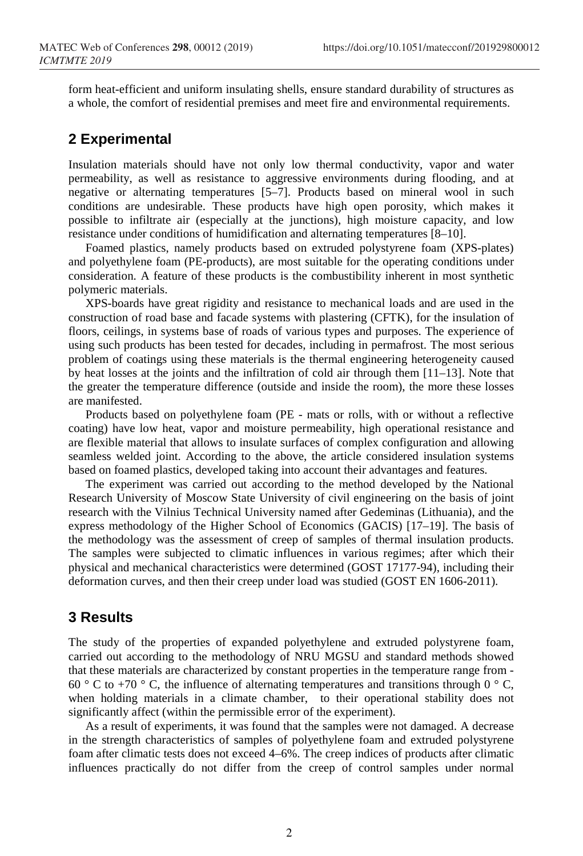form heat-efficient and uniform insulating shells, ensure standard durability of structures as a whole, the comfort of residential premises and meet fire and environmental requirements.

#### **2 Experimental**

Insulation materials should have not only low thermal conductivity, vapor and water permeability, as well as resistance to aggressive environments during flooding, and at negative or alternating temperatures [5–7]. Products based on mineral wool in such conditions are undesirable. These products have high open porosity, which makes it possible to infiltrate air (especially at the junctions), high moisture capacity, and low resistance under conditions of humidification and alternating temperatures [8–10].

Foamed plastics, namely products based on extruded polystyrene foam (XPS-plates) and polyethylene foam (PE-products), are most suitable for the operating conditions under consideration. A feature of these products is the combustibility inherent in most synthetic polymeric materials.

XPS-boards have great rigidity and resistance to mechanical loads and are used in the construction of road base and facade systems with plastering (CFTK), for the insulation of floors, ceilings, in systems base of roads of various types and purposes. The experience of using such products has been tested for decades, including in permafrost. The most serious problem of coatings using these materials is the thermal engineering heterogeneity caused by heat losses at the joints and the infiltration of cold air through them [11–13]. Note that the greater the temperature difference (outside and inside the room), the more these losses are manifested.

Products based on polyethylene foam (PE - mats or rolls, with or without a reflective coating) have low heat, vapor and moisture permeability, high operational resistance and are flexible material that allows to insulate surfaces of complex configuration and allowing seamless welded joint. According to the above, the article considered insulation systems based on foamed plastics, developed taking into account their advantages and features.

The experiment was carried out according to the method developed by the National Research University of Moscow State University of civil engineering on the basis of joint research with the Vilnius Technical University named after Gedeminas (Lithuania), and the express methodology of the Higher School of Economics (GACIS) [17–19]. The basis of the methodology was the assessment of creep of samples of thermal insulation products. The samples were subjected to climatic influences in various regimes; after which their physical and mechanical characteristics were determined (GOST 17177-94), including their deformation curves, and then their creep under load was studied (GOST EN 1606-2011).

#### **3 Results**

The study of the properties of expanded polyethylene and extruded polystyrene foam, carried out according to the methodology of NRU MGSU and standard methods showed that these materials are characterized by constant properties in the temperature range from - 60 ° C to +70 ° C, the influence of alternating temperatures and transitions through 0 ° C, when holding materials in a climate chamber, to their operational stability does not significantly affect (within the permissible error of the experiment).

As a result of experiments, it was found that the samples were not damaged. A decrease in the strength characteristics of samples of polyethylene foam and extruded polystyrene foam after climatic tests does not exceed 4–6%. The creep indices of products after climatic influences practically do not differ from the creep of control samples under normal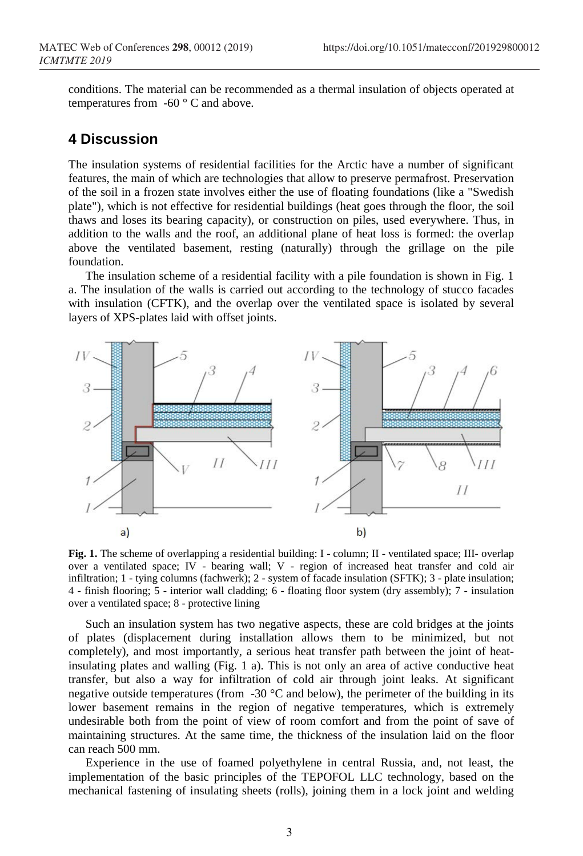conditions. The material can be recommended as a thermal insulation of objects operated at temperatures from -60 ° C and above.

### **4 Discussion**

The insulation systems of residential facilities for the Arctic have a number of significant features, the main of which are technologies that allow to preserve permafrost. Preservation of the soil in a frozen state involves either the use of floating foundations (like a "Swedish plate"), which is not effective for residential buildings (heat goes through the floor, the soil thaws and loses its bearing capacity), or construction on piles, used everywhere. Thus, in addition to the walls and the roof, an additional plane of heat loss is formed: the overlap above the ventilated basement, resting (naturally) through the grillage on the pile foundation.

The insulation scheme of a residential facility with a pile foundation is shown in Fig. 1 a. The insulation of the walls is carried out according to the technology of stucco facades with insulation (CFTK), and the overlap over the ventilated space is isolated by several layers of XPS-plates laid with offset joints.



**Fig. 1.** The scheme of overlapping a residential building: I - column; II - ventilated space; III- overlap over a ventilated space; IV - bearing wall; V - region of increased heat transfer and cold air infiltration; 1 - tying columns (fachwerk); 2 - system of facade insulation (SFTK); 3 - plate insulation; 4 - finish flooring; 5 - interior wall cladding; 6 - floating floor system (dry assembly); 7 - insulation over a ventilated space; 8 - protective lining

Such an insulation system has two negative aspects, these are cold bridges at the joints of plates (displacement during installation allows them to be minimized, but not completely), and most importantly, a serious heat transfer path between the joint of heatinsulating plates and walling (Fig. 1 a). This is not only an area of active conductive heat transfer, but also a way for infiltration of cold air through joint leaks. At significant negative outside temperatures (from  $-30$  °C and below), the perimeter of the building in its lower basement remains in the region of negative temperatures, which is extremely undesirable both from the point of view of room comfort and from the point of save of maintaining structures. At the same time, the thickness of the insulation laid on the floor can reach 500 mm.

Experience in the use of foamed polyethylene in central Russia, and, not least, the implementation of the basic principles of the TEPOFOL LLC technology, based on the mechanical fastening of insulating sheets (rolls), joining them in a lock joint and welding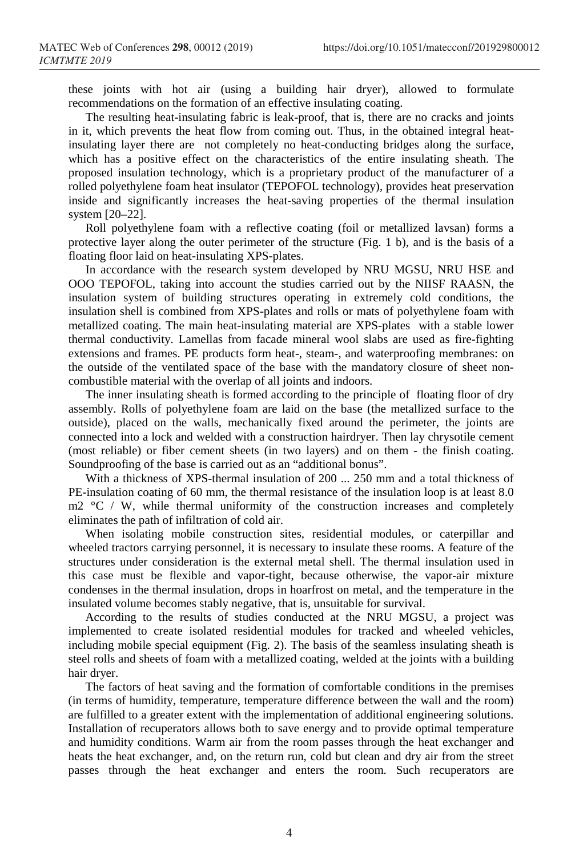these joints with hot air (using a building hair dryer), allowed to formulate recommendations on the formation of an effective insulating coating.

The resulting heat-insulating fabric is leak-proof, that is, there are no cracks and joints in it, which prevents the heat flow from coming out. Thus, in the obtained integral heatinsulating layer there are not completely no heat-conducting bridges along the surface, which has a positive effect on the characteristics of the entire insulating sheath. The proposed insulation technology, which is a proprietary product of the manufacturer of a rolled polyethylene foam heat insulator (TEPOFOL technology), provides heat preservation inside and significantly increases the heat-saving properties of the thermal insulation system [20–22].

Roll polyethylene foam with a reflective coating (foil or metallized lavsan) forms a protective layer along the outer perimeter of the structure (Fig. 1 b), and is the basis of a floating floor laid on heat-insulating XPS-plates.

In accordance with the research system developed by NRU MGSU, NRU HSE and OOO TEPOFOL, taking into account the studies carried out by the NIISF RAASN, the insulation system of building structures operating in extremely cold conditions, the insulation shell is combined from XPS-plates and rolls or mats of polyethylene foam with metallized coating. The main heat-insulating material are XPS-plates with a stable lower thermal conductivity. Lamellas from facade mineral wool slabs are used as fire-fighting extensions and frames. PE products form heat-, steam-, and waterproofing membranes: on the outside of the ventilated space of the base with the mandatory closure of sheet noncombustible material with the overlap of all joints and indoors.

The inner insulating sheath is formed according to the principle of floating floor of dry assembly. Rolls of polyethylene foam are laid on the base (the metallized surface to the outside), placed on the walls, mechanically fixed around the perimeter, the joints are connected into a lock and welded with a construction hairdryer. Then lay chrysotile cement (most reliable) or fiber cement sheets (in two layers) and on them - the finish coating. Soundproofing of the base is carried out as an "additional bonus".

With a thickness of XPS-thermal insulation of 200 ... 250 mm and a total thickness of PE-insulation coating of 60 mm, the thermal resistance of the insulation loop is at least 8.0 m2  $°C$  / W, while thermal uniformity of the construction increases and completely eliminates the path of infiltration of cold air.

When isolating mobile construction sites, residential modules, or caterpillar and wheeled tractors carrying personnel, it is necessary to insulate these rooms. A feature of the structures under consideration is the external metal shell. The thermal insulation used in this case must be flexible and vapor-tight, because otherwise, the vapor-air mixture condenses in the thermal insulation, drops in hoarfrost on metal, and the temperature in the insulated volume becomes stably negative, that is, unsuitable for survival.

According to the results of studies conducted at the NRU MGSU, a project was implemented to create isolated residential modules for tracked and wheeled vehicles, including mobile special equipment (Fig. 2). The basis of the seamless insulating sheath is steel rolls and sheets of foam with a metallized coating, welded at the joints with a building hair dryer.

The factors of heat saving and the formation of comfortable conditions in the premises (in terms of humidity, temperature, temperature difference between the wall and the room) are fulfilled to a greater extent with the implementation of additional engineering solutions. Installation of recuperators allows both to save energy and to provide optimal temperature and humidity conditions. Warm air from the room passes through the heat exchanger and heats the heat exchanger, and, on the return run, cold but clean and dry air from the street passes through the heat exchanger and enters the room. Such recuperators are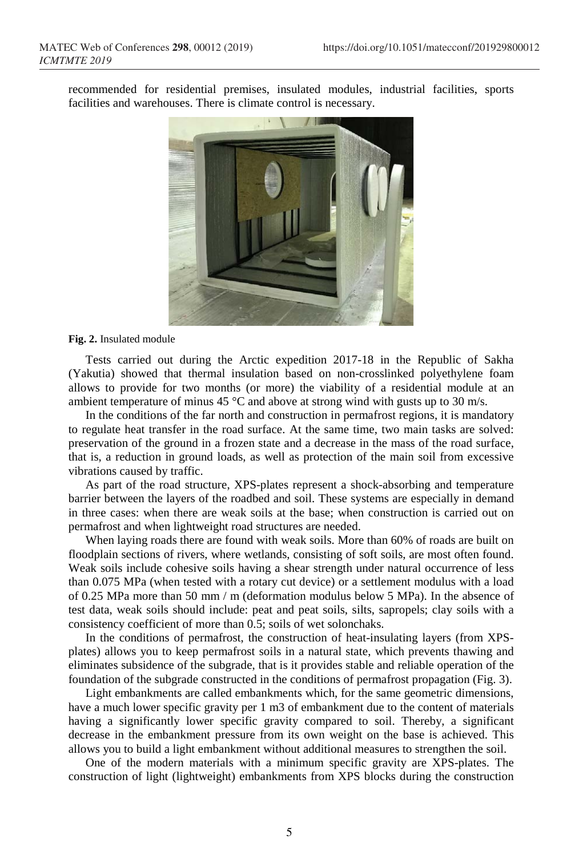recommended for residential premises, insulated modules, industrial facilities, sports facilities and warehouses. There is climate control is necessary.



**Fig. 2.** Insulated module

Tests carried out during the Arctic expedition 2017-18 in the Republic of Sakha (Yakutia) showed that thermal insulation based on non-crosslinked polyethylene foam allows to provide for two months (or more) the viability of a residential module at an ambient temperature of minus 45 °C and above at strong wind with gusts up to 30 m/s.

In the conditions of the far north and construction in permafrost regions, it is mandatory to regulate heat transfer in the road surface. At the same time, two main tasks are solved: preservation of the ground in a frozen state and a decrease in the mass of the road surface, that is, a reduction in ground loads, as well as protection of the main soil from excessive vibrations caused by traffic.

As part of the road structure, XPS-plates represent a shock-absorbing and temperature barrier between the layers of the roadbed and soil. These systems are especially in demand in three cases: when there are weak soils at the base; when construction is carried out on permafrost and when lightweight road structures are needed.

When laying roads there are found with weak soils. More than 60% of roads are built on floodplain sections of rivers, where wetlands, consisting of soft soils, are most often found. Weak soils include cohesive soils having a shear strength under natural occurrence of less than 0.075 MPa (when tested with a rotary cut device) or a settlement modulus with a load of 0.25 MPa more than 50 mm / m (deformation modulus below 5 MPa). In the absence of test data, weak soils should include: peat and peat soils, silts, sapropels; clay soils with a consistency coefficient of more than 0.5; soils of wet solonchaks.

In the conditions of permafrost, the construction of heat-insulating layers (from XPSplates) allows you to keep permafrost soils in a natural state, which prevents thawing and eliminates subsidence of the subgrade, that is it provides stable and reliable operation of the foundation of the subgrade constructed in the conditions of permafrost propagation (Fig. 3).

Light embankments are called embankments which, for the same geometric dimensions, have a much lower specific gravity per 1 m3 of embankment due to the content of materials having a significantly lower specific gravity compared to soil. Thereby, a significant decrease in the embankment pressure from its own weight on the base is achieved. This allows you to build a light embankment without additional measures to strengthen the soil.

One of the modern materials with a minimum specific gravity are XPS-plates. The construction of light (lightweight) embankments from XPS blocks during the construction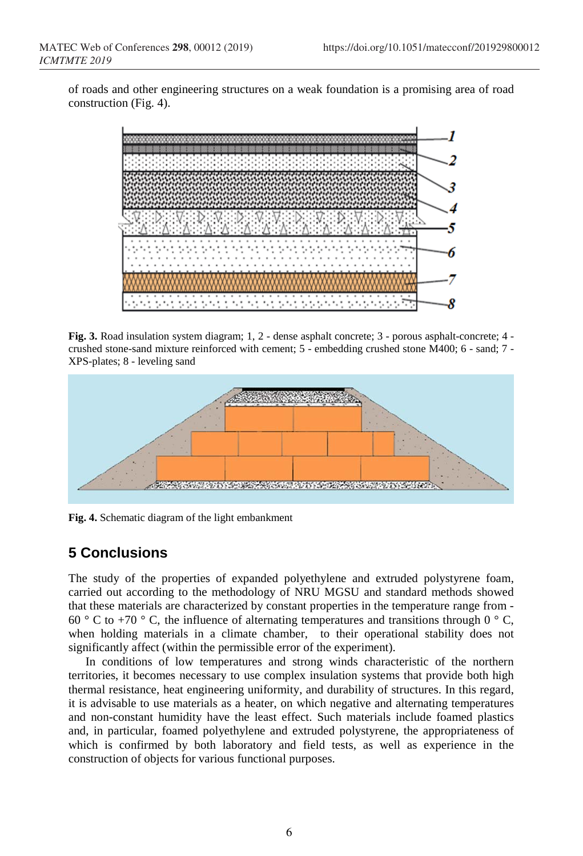of roads and other engineering structures on a weak foundation is a promising area of road construction (Fig. 4).



**Fig. 3.** Road insulation system diagram; 1, 2 - dense asphalt concrete; 3 - porous asphalt-concrete; 4 crushed stone-sand mixture reinforced with cement; 5 - embedding crushed stone M400; 6 - sand; 7 - XPS-plates; 8 - leveling sand



**Fig. 4.** Schematic diagram of the light embankment

## **5 Conclusions**

The study of the properties of expanded polyethylene and extruded polystyrene foam, carried out according to the methodology of NRU MGSU and standard methods showed that these materials are characterized by constant properties in the temperature range from - 60 ° C to +70 ° C, the influence of alternating temperatures and transitions through 0 ° C, when holding materials in a climate chamber, to their operational stability does not significantly affect (within the permissible error of the experiment).

In conditions of low temperatures and strong winds characteristic of the northern territories, it becomes necessary to use complex insulation systems that provide both high thermal resistance, heat engineering uniformity, and durability of structures. In this regard, it is advisable to use materials as a heater, on which negative and alternating temperatures and non-constant humidity have the least effect. Such materials include foamed plastics and, in particular, foamed polyethylene and extruded polystyrene, the appropriateness of which is confirmed by both laboratory and field tests, as well as experience in the construction of objects for various functional purposes.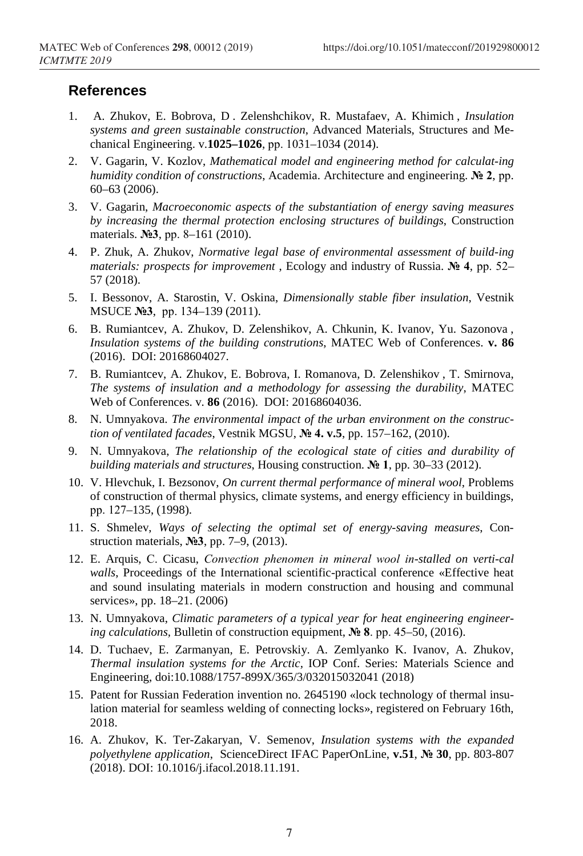#### **References**

- 1. A. Zhukov, E. Bobrova, D . Zelenshchikov, R. Mustafaev, A. Khimich , *Insulation systems and green sustainable construction*, Advanced Materials, Structures and Mechanical Engineering. v.**1025–1026**, рр. 1031–1034 (2014).
- 2. V. Gagarin, V. Kozlov, *Mathematical model and engineering method for calculat-ing humidity condition of constructions*, Academia. Architecture and engineering. **№ 2**, рр. 60–63 (2006).
- 3. V. Gagarin, *Macroeconomic aspects of the substantiation of energy saving measures by increasing the thermal protection enclosing structures of buildings*, Construction materials. **№3**, рр. 8–161 (2010).
- 4. P. Zhuk, A. Zhukov, *Normative legal base of environmental assessment of build-ing materials: prospects for improvement* , Ecology and industry of Russia. **№ 4**, рр. 52– 57 (2018).
- 5. I. Bessonov, A. Starostin, V. Oskina, *Dimensionally stable fiber insulation*, Vestnik MSUCE **№3**, рр. 134–139 (2011).
- 6. B. Rumiantcev, A. Zhukov, D. Zelenshikov, A. Chkunin, K. Ivanov, Yu. Sazonova , *Insulation systems of the building construtions*, MATEC Web of Conferences. **v. 86** (2016). DOI: 20168604027.
- 7. B. Rumiantcev, A. Zhukov, E. Bobrova, I. Romanova, D. Zelenshikov , T. Smirnova, *The systems of insulation and a methodology for assessing the durability*, MATEC Web of Conferences. v. **86** (2016). DOI: 20168604036.
- 8. N. Umnyakova. *The environmental impact of the urban environment on the construction of ventilated facades*, Vestnik MGSU, **№ 4. v.5**, pp. 157–162, (2010).
- 9. N. Umnyakova, *The relationship of the ecological state of cities and durability of building materials and structures*, Housing construction. **№ 1**, pp. 30–33 (2012).
- 10. V. Hlevchuk, I. Bezsonov, *On current thermal performance of mineral wool*, Problems of construction of thermal physics, climate systems, and energy efficiency in buildings, рр. 127–135, (1998).
- 11. S. Shmelev, *Ways of selecting the optimal set of energy-saving measures*, Construction materials, **№3**, pp. 7–9, (2013).
- 12. E. Arquis, С. Cicasu, *Сonvection phenomen in mineral wool in-stalled on verti-cal walls*, Proceedings of the International scientific-practical conference «Effective heat and sound insulating materials in modern construction and housing and communal services», pp. 18–21. (2006)
- 13. N. Umnyakova, *Climatic parameters of a typical year for heat engineering engineering calculations,* Bulletin of construction equipment, **№ 8**. рp. 45–50, (2016).
- 14. D. Tuchaev, E. Zarmanyan, E. Petrovskiy. A. Zemlyanko K. Ivanov, A. Zhukov, *Thermal insulation systems for the Arctic,* IOP Conf. Series: Materials Science and Engineering, doi:10.1088/1757-899X/365/3/032015032041 (2018)
- 15. Patent for Russian Federation invention no. 2645190 «lock technology of thermal insulation material for seamless welding of connecting locks», registered on February 16th, 2018.
- 16. A. Zhukov, K. Ter-Zakaryan, V. Semenov, *Insulation systems with the expanded polyethylene application*, ScienceDirect IFAC PaperOnLine, **v.51**, **№ 30**, pp. 803-807 (2018). DOI: 10.1016/j.ifacol.2018.11.191.